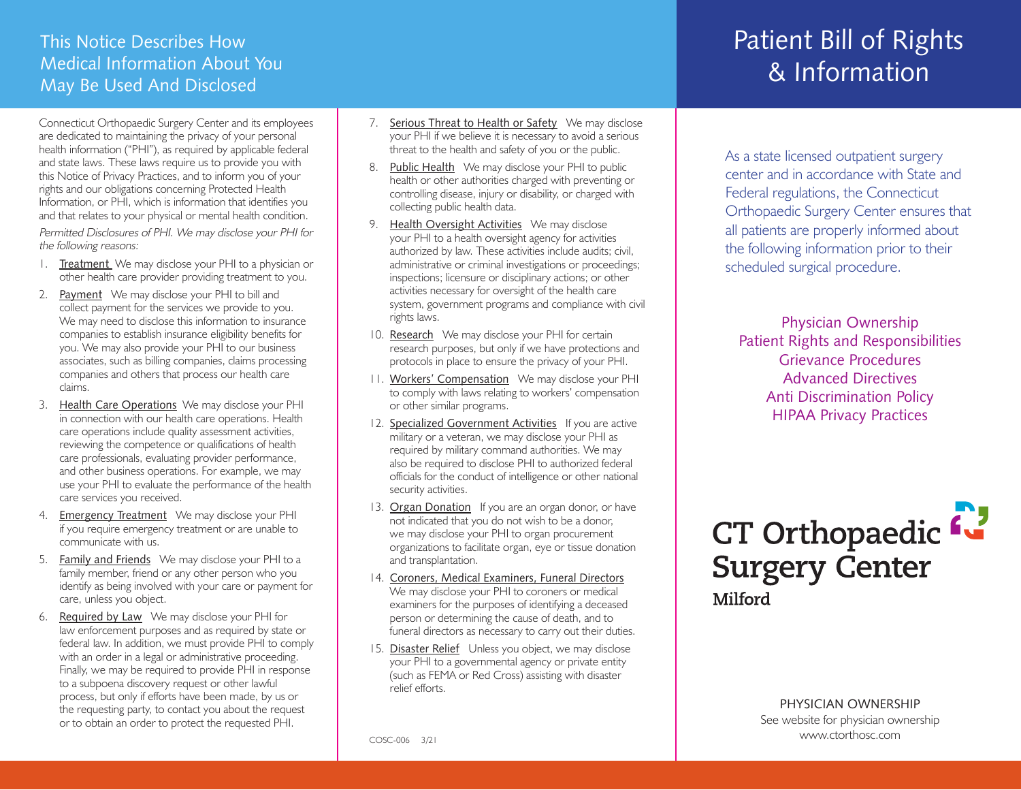### This Notice Describes How Medical Information About You May Be Used And Disclosed

Connecticut Orthopaedic Surgery Center and its employees are dedicated to maintaining the privacy of your personal health information ("PHI"), as required by applicable federal and state laws. These laws require us to provide you with this Notice of Privacy Practices, and to inform you of your rights and our obligations concerning Protected Health Information, or PHI, which is information that identifies you and that relates to your physical or mental health condition.

Permitted Disclosures of PHI. We may disclose your PHI for the following reasons:

- 1. Treatment We may disclose your PHI to a physician or other health care provider providing treatment to you.
- 2. Payment We may disclose your PHI to bill and collect payment for the services we provide to you. We may need to disclose this information to insurance companies to establish insurance eligibility benefits for you. We may also provide your PHI to our business associates, such as billing companies, claims processing companies and others that process our health care claims.
- 3. Health Care Operations We may disclose your PHI in connection with our health care operations. Health care operations include quality assessment activities, reviewing the competence or qualifications of health care professionals, evaluating provider performance, and other business operations. For example, we may use your PHI to evaluate the performance of the health care services you received.
- 4. Emergency Treatment We may disclose your PHI if you require emergency treatment or are unable to communicate with us.
- 5. Family and Friends We may disclose your PHI to a family member, friend or any other person who you identify as being involved with your care or payment for care, unless you object.
- 6. Required by Law We may disclose your PHI for law enforcement purposes and as required by state or federal law. In addition, we must provide PHI to comply with an order in a legal or administrative proceeding. Finally, we may be required to provide PHI in response to a subpoena discovery request or other lawful process, but only if efforts have been made, by us or the requesting party, to contact you about the request or to obtain an order to protect the requested PHI.
- 7. Serious Threat to Health or Safety We may disclose your PHI if we believe it is necessary to avoid a serious threat to the health and safety of you or the public.
- 8. Public Health We may disclose your PHI to public health or other authorities charged with preventing or controlling disease, injury or disability, or charged with collecting public health data.
- 9. Health Oversight Activities We may disclose your PHI to a health oversight agency for activities authorized by law. These activities include audits; civil, administrative or criminal investigations or proceedings; inspections; licensure or disciplinary actions; or other activities necessary for oversight of the health care system, government programs and compliance with civil rights laws.
- 10. Research We may disclose your PHI for certain research purposes, but only if we have protections and protocols in place to ensure the privacy of your PHI.
- 11. Workers' Compensation We may disclose your PHI to comply with laws relating to workers' compensation or other similar programs.
- 12. Specialized Government Activities If you are active military or a veteran, we may disclose your PHI as required by military command authorities. We may also be required to disclose PHI to authorized federal officials for the conduct of intelligence or other national security activities.
- 13. Organ Donation If you are an organ donor, or have not indicated that you do not wish to be a donor, we may disclose your PHI to organ procurement organizations to facilitate organ, eye or tissue donation and transplantation.
- 14. Coroners, Medical Examiners, Funeral Directors We may disclose your PHI to coroners or medical examiners for the purposes of identifying a deceased person or determining the cause of death, and to funeral directors as necessary to carry out their duties.
- 15. Disaster Relief Unless you object, we may disclose your PHI to a governmental agency or private entity (such as FEMA or Red Cross) assisting with disaster relief efforts.

# Patient Bill of Rights & Information

As a state licensed outpatient surgery center and in accordance with State and Federal regulations, the Connecticut Orthopaedic Surgery Center ensures that all patients are properly informed about the following information prior to their scheduled surgical procedure.

Physician Ownership Patient Rights and Responsibilities Grievance Procedures Advanced Directives Anti Discrimination Policy HIPAA Privacy Practices



PHYSICIAN OWNERSHIP See website for physician ownership www.ctorthosc.com